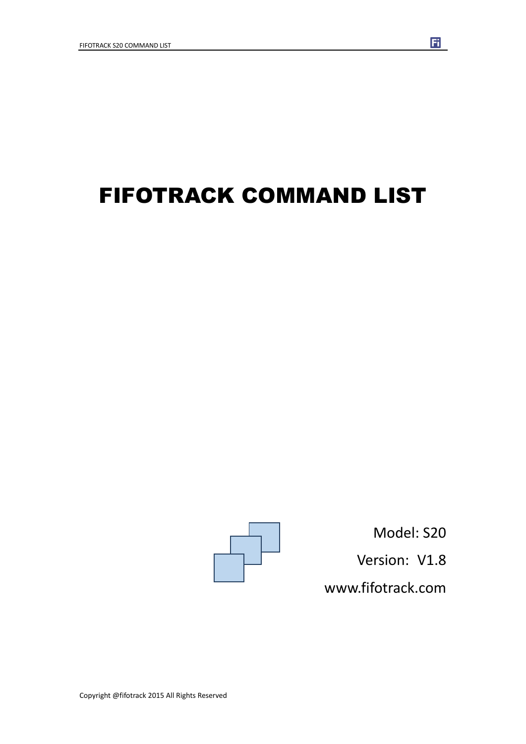# FIFOTRACK COMMAND LIST



Model: S20 Version: V1.8 www.fifotrack.com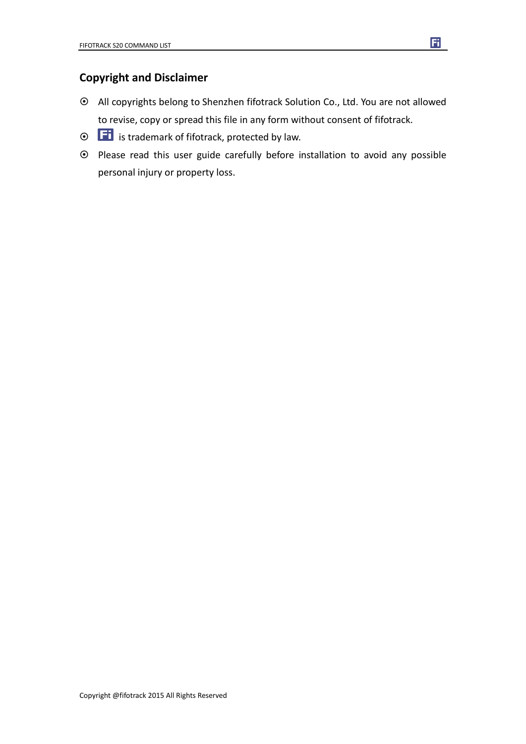### **Copyright and Disclaimer**

- All copyrights belong to Shenzhen fifotrack Solution Co., Ltd. You are not allowed to revise, copy or spread this file in any form without consent of fifotrack.
- $\odot$   $\Box$  is trademark of fifotrack, protected by law.
- Please read this user guide carefully before installation to avoid any possible personal injury or property loss.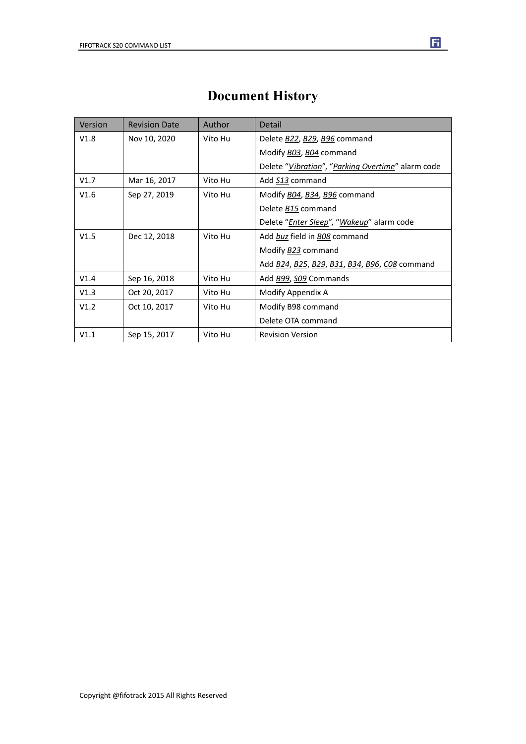| Version | <b>Revision Date</b> | Author  | Detail                                                        |
|---------|----------------------|---------|---------------------------------------------------------------|
| V1.8    | Nov 10, 2020         | Vito Hu | Delete <b>B22</b> , <b>B29</b> , <b>B96</b> command           |
|         |                      |         | Modify <b>BO3</b> , <b>BO4</b> command                        |
|         |                      |         | Delete "Vibration", "Parking Overtime" alarm code             |
| V1.7    | Mar 16, 2017         | Vito Hu | Add S13 command                                               |
| V1.6    | Sep 27, 2019         | Vito Hu | Modify B04, B34, B96 command                                  |
|         |                      |         | Delete B15 command                                            |
|         |                      |         | Delete " <i>Enter Sleep</i> ", " <i>Wakeup</i> " alarm code   |
| V1.5    | Dec 12, 2018         | Vito Hu | Add buz field in BO8 command                                  |
|         |                      |         | Modify <b>B23</b> command                                     |
|         |                      |         | Add <u>B24</u> , <u>B25</u> , B29, B31, B34, B96, C08 command |
| V1.4    | Sep 16, 2018         | Vito Hu | Add B99, S09 Commands                                         |
| V1.3    | Oct 20, 2017         | Vito Hu | Modify Appendix A                                             |
| V1.2    | Oct 10, 2017         | Vito Hu | Modify B98 command                                            |
|         |                      |         | Delete OTA command                                            |
| V1.1    | Sep 15, 2017         | Vito Hu | <b>Revision Version</b>                                       |

## **Document History**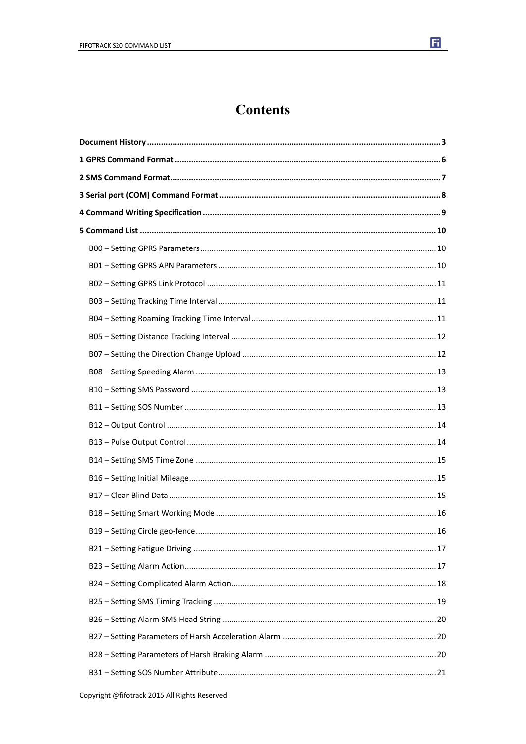

### **Contents**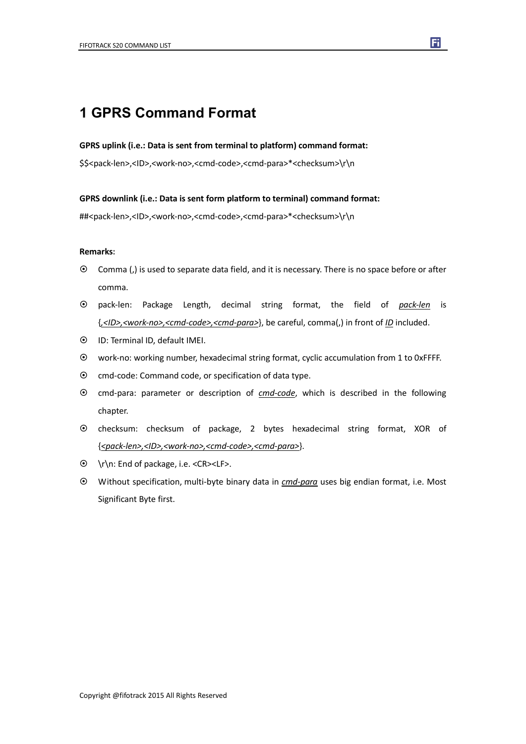### **1 GPRS Command Format**

#### **GPRS uplink (i.e.: Data is sent from terminal to platform) command format:**

\$\$<pack-len>,<ID>,<work-no>,<cmd-code>,<cmd-para>\*<checksum>\r\n

#### **GPRS downlink (i.e.: Data is sent form platform to terminal) command format:**

##<pack-len>,<ID>,<work-no>,<cmd-code>,<cmd-para>\*<checksum>\r\n

#### **Remarks:**

- Comma (,) is used to separate data field, and it is necessary. There is no space before or after comma.
- pack-len: Package Length, decimal string format, the field of *pack-len* is {*,<ID>,<work-no>,<cmd-code>,<cmd-para>*}, be careful, comma(,) in front of *ID* included.
- ID: Terminal ID, default IMEI.
- work-no: working number, hexadecimal string format, cyclic accumulation from 1 to 0xFFFF.
- $\odot$  cmd-code: Command code, or specification of data type.
- cmd-para: parameter or description of *cmd-code*, which is described in the following chapter.
- checksum: checksum of package, 2 bytes hexadecimal string format, XOR of {*<pack-len>,<ID>,<work-no>,<cmd-code>,<cmd-para>*}.
- \r\n: End of package, i.e. <CR><LF>.
- Without specification, multi-byte binary data in *cmd-para* uses big endian format, i.e. Most Significant Byte first.

囿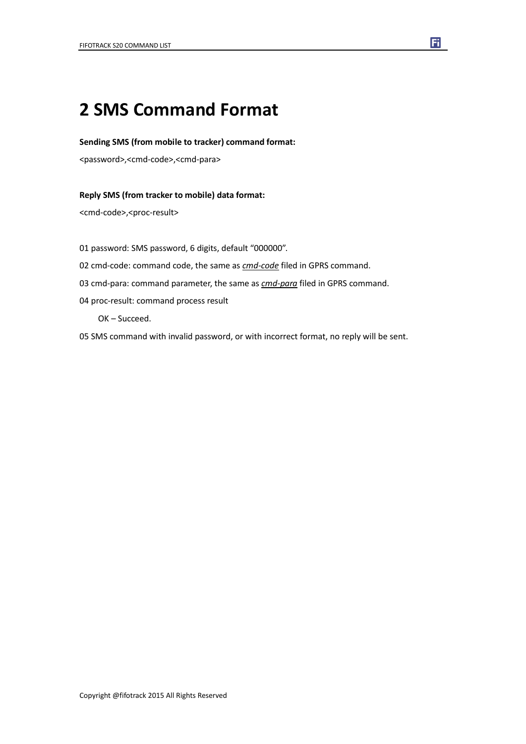## **2 SMS Command Format**

#### **Sending SMS (from mobile to tracker) command format:**

<password>,<cmd-code>,<cmd-para>

#### **Reply SMS (from tracker to mobile) data format:**

<cmd-code>,<proc-result>

01 password: SMS password, 6 digits, default "000000".

- 02 cmd-code: command code, the same as *cmd-code* filed in GPRS command.
- 03 cmd-para: command parameter, the same as *cmd-para* filed in GPRS command.
- 04 proc-result: command process result

OK – Succeed.

05 SMS command with invalid password, or with incorrect format, no reply will be sent.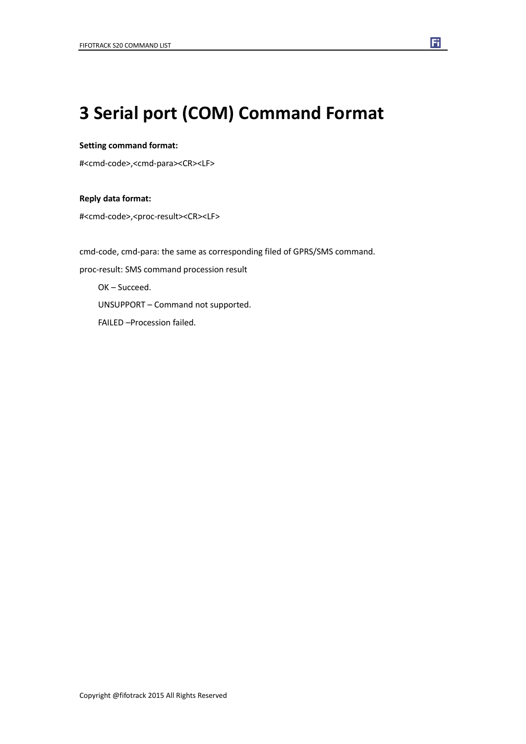## **3 Serial port (COM) Command Format**

#### **Setting command format:**

#<cmd-code>,<cmd-para><CR><LF>

#### **Reply data format:**

#<cmd-code>,<proc-result><CR><LF>

cmd-code, cmd-para: the same as corresponding filed of GPRS/SMS command. proc-result: SMS command procession result OK – Succeed. UNSUPPORT – Command not supported. FAILED –Procession failed.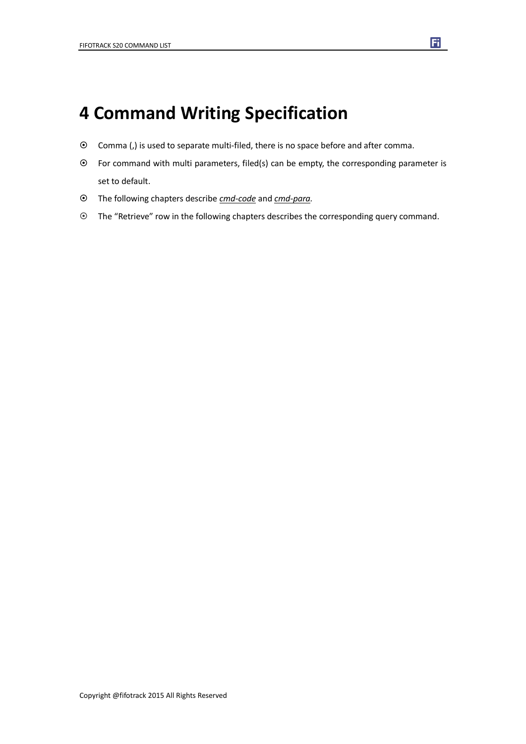## **4 Command Writing Specification**

- Comma (,) is used to separate multi-filed, there is no space before and after comma.
- For command with multi parameters, filed(s) can be empty, the corresponding parameter is set to default.
- The following chapters describe *cmd-code* and *cmd-para.*
- The "Retrieve" row in the following chapters describes the corresponding query command.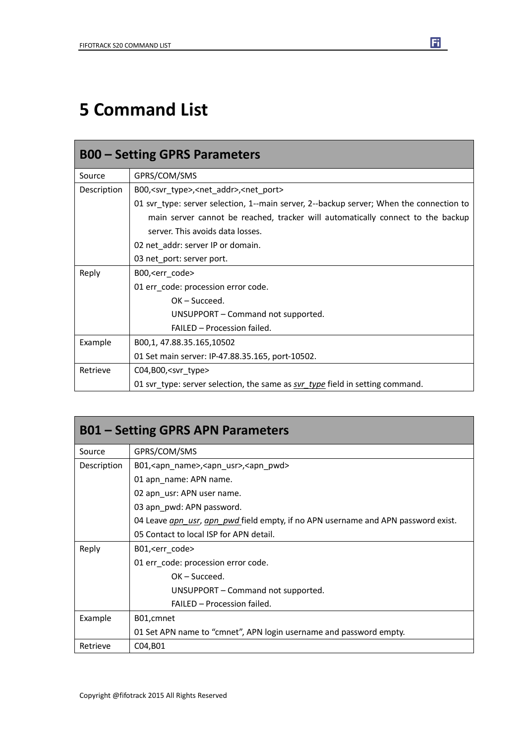## **5 Command List**

| <b>B00 - Setting GPRS Parameters</b> |                                                                                         |  |
|--------------------------------------|-----------------------------------------------------------------------------------------|--|
| Source                               | GPRS/COM/SMS                                                                            |  |
| Description                          | B00, <svr_type>,<net_addr>,<net_port></net_port></net_addr></svr_type>                  |  |
|                                      | 01 svr_type: server selection, 1--main server, 2--backup server; When the connection to |  |
|                                      | main server cannot be reached, tracker will automatically connect to the backup         |  |
|                                      | server. This avoids data losses.                                                        |  |
|                                      | 02 net_addr: server IP or domain.                                                       |  |
|                                      | 03 net_port: server port.                                                               |  |
| Reply                                | B00, <err_code></err_code>                                                              |  |
|                                      | 01 err_code: procession error code.                                                     |  |
|                                      | $OK - Succeed.$                                                                         |  |
|                                      | UNSUPPORT – Command not supported.                                                      |  |
|                                      | FAILED - Procession failed.                                                             |  |
| Example                              | B00,1, 47.88.35.165,10502                                                               |  |
|                                      | 01 Set main server: IP-47.88.35.165, port-10502.                                        |  |
| Retrieve                             | $CO4, B00,$ <svr type=""></svr>                                                         |  |
|                                      | 01 svr_type: server selection, the same as svr_type field in setting command.           |  |

| <b>B01 – Setting GPRS APN Parameters</b> |                                                                                   |  |
|------------------------------------------|-----------------------------------------------------------------------------------|--|
| Source                                   | GPRS/COM/SMS                                                                      |  |
| Description                              | B01, <apn_name>, <apn_usr>, <apn_pwd></apn_pwd></apn_usr></apn_name>              |  |
|                                          | 01 apn_name: APN name.                                                            |  |
|                                          | 02 apn_usr: APN user name.                                                        |  |
|                                          | 03 apn_pwd: APN password.                                                         |  |
|                                          | 04 Leave gpn usr, apn pwd field empty, if no APN username and APN password exist. |  |
|                                          | 05 Contact to local ISP for APN detail.                                           |  |
| Reply                                    | B01, <err_code></err_code>                                                        |  |
|                                          | 01 err code: procession error code.                                               |  |
|                                          | $OK - Succeed.$                                                                   |  |
|                                          | UNSUPPORT – Command not supported.                                                |  |
|                                          | FAILED - Procession failed.                                                       |  |
| Example                                  | B01, cmnet                                                                        |  |
|                                          | 01 Set APN name to "cmnet", APN login username and password empty.                |  |
| Retrieve                                 | C04, B01                                                                          |  |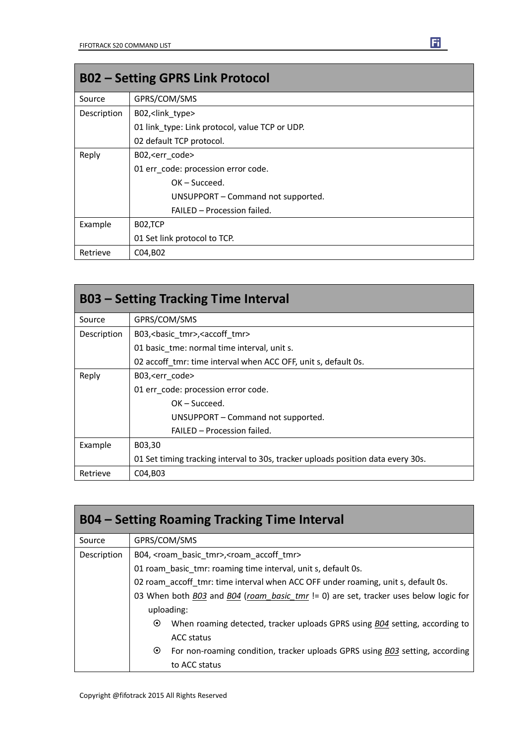| <b>B02 - Setting GPRS Link Protocol</b> |                                                |  |
|-----------------------------------------|------------------------------------------------|--|
| Source                                  | GPRS/COM/SMS                                   |  |
| Description                             | B02, <link type=""/>                           |  |
|                                         | 01 link type: Link protocol, value TCP or UDP. |  |
|                                         | 02 default TCP protocol.                       |  |
| Reply                                   | B02, <err code=""></err>                       |  |
|                                         | 01 err code: procession error code.            |  |
|                                         | $OK - Succeed.$                                |  |
|                                         | UNSUPPORT - Command not supported.             |  |
|                                         | FAILED - Procession failed.                    |  |
| Example                                 | B02,TCP                                        |  |
|                                         | 01 Set link protocol to TCP.                   |  |
| Retrieve                                | C04, B02                                       |  |

| <b>B03 – Setting Tracking Time Interval</b> |                                                                                  |  |
|---------------------------------------------|----------------------------------------------------------------------------------|--|
| Source                                      | GPRS/COM/SMS                                                                     |  |
| Description                                 | B03, < basic tmr>, < accoff tmr>                                                 |  |
|                                             | 01 basic tme: normal time interval, unit s.                                      |  |
|                                             | 02 accoff tmr: time interval when ACC OFF, unit s, default 0s.                   |  |
| Reply                                       | B03, <err code=""></err>                                                         |  |
|                                             | 01 err code: procession error code.                                              |  |
|                                             | $OK - Succeed.$                                                                  |  |
|                                             | UNSUPPORT – Command not supported.                                               |  |
|                                             | FAILED - Procession failed.                                                      |  |
| Example                                     | B03,30                                                                           |  |
|                                             | 01 Set timing tracking interval to 30s, tracker uploads position data every 30s. |  |
| Retrieve                                    | C04, B03                                                                         |  |

| <b>B04 – Setting Roaming Tracking Time Interval</b> |                                                                                         |  |  |
|-----------------------------------------------------|-----------------------------------------------------------------------------------------|--|--|
| Source                                              | GPRS/COM/SMS                                                                            |  |  |
| Description                                         | B04, <roam basic="" tmr="">, <roam accoff="" tmr=""></roam></roam>                      |  |  |
|                                                     | 01 roam basic tmr: roaming time interval, unit s, default 0s.                           |  |  |
|                                                     | 02 roam accoff tmr: time interval when ACC OFF under roaming, unit s, default 0s.       |  |  |
|                                                     | 03 When both B03 and B04 (roam_basic_tmr != 0) are set, tracker uses below logic for    |  |  |
|                                                     | uploading:                                                                              |  |  |
|                                                     | When roaming detected, tracker uploads GPRS using B04 setting, according to<br>$\odot$  |  |  |
|                                                     | ACC status                                                                              |  |  |
|                                                     | $\odot$<br>For non-roaming condition, tracker uploads GPRS using B03 setting, according |  |  |
|                                                     | to ACC status                                                                           |  |  |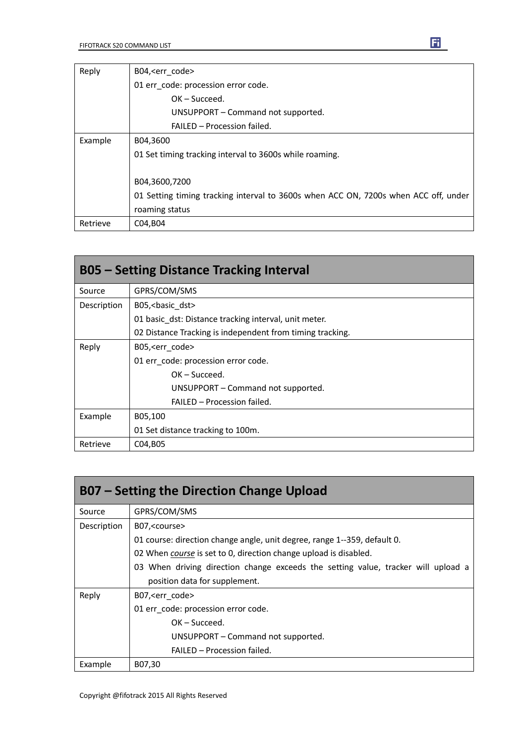| Reply    | B04, <err code=""></err>                                                            |  |
|----------|-------------------------------------------------------------------------------------|--|
|          | 01 err_code: procession error code.                                                 |  |
|          | $OK - Succeed.$                                                                     |  |
|          | UNSUPPORT – Command not supported.                                                  |  |
|          | FAILED - Procession failed.                                                         |  |
| Example  | B04,3600                                                                            |  |
|          | 01 Set timing tracking interval to 3600s while roaming.                             |  |
|          |                                                                                     |  |
|          | B04,3600,7200                                                                       |  |
|          | 01 Setting timing tracking interval to 3600s when ACC ON, 7200s when ACC off, under |  |
|          | roaming status                                                                      |  |
| Retrieve | C04, B04                                                                            |  |

| <b>B05 - Setting Distance Tracking Interval</b> |                                                           |  |
|-------------------------------------------------|-----------------------------------------------------------|--|
| Source                                          | GPRS/COM/SMS                                              |  |
| Description                                     | B05, < basic dst>                                         |  |
|                                                 | 01 basic dst: Distance tracking interval, unit meter.     |  |
|                                                 | 02 Distance Tracking is independent from timing tracking. |  |
| Reply                                           | B05, <err code=""></err>                                  |  |
|                                                 | 01 err code: procession error code.                       |  |
|                                                 | $OK - Succeed.$                                           |  |
|                                                 | UNSUPPORT – Command not supported.                        |  |
|                                                 | FAILED - Procession failed.                               |  |
| Example                                         | B05,100                                                   |  |
|                                                 | 01 Set distance tracking to 100m.                         |  |
| Retrieve                                        | C04, B05                                                  |  |

| B07 – Setting the Direction Change Upload |                                                                                   |  |
|-------------------------------------------|-----------------------------------------------------------------------------------|--|
| Source                                    | GPRS/COM/SMS                                                                      |  |
| Description                               | B07, <course></course>                                                            |  |
|                                           | 01 course: direction change angle, unit degree, range 1--359, default 0.          |  |
|                                           | 02 When course is set to 0, direction change upload is disabled.                  |  |
|                                           | 03 When driving direction change exceeds the setting value, tracker will upload a |  |
|                                           | position data for supplement.                                                     |  |
| Reply                                     | B07, <err code=""></err>                                                          |  |
|                                           | 01 err code: procession error code.                                               |  |
|                                           | $OK - Succeed.$                                                                   |  |
|                                           | UNSUPPORT - Command not supported.                                                |  |
|                                           | FAILED - Procession failed.                                                       |  |
| Example                                   | B07,30                                                                            |  |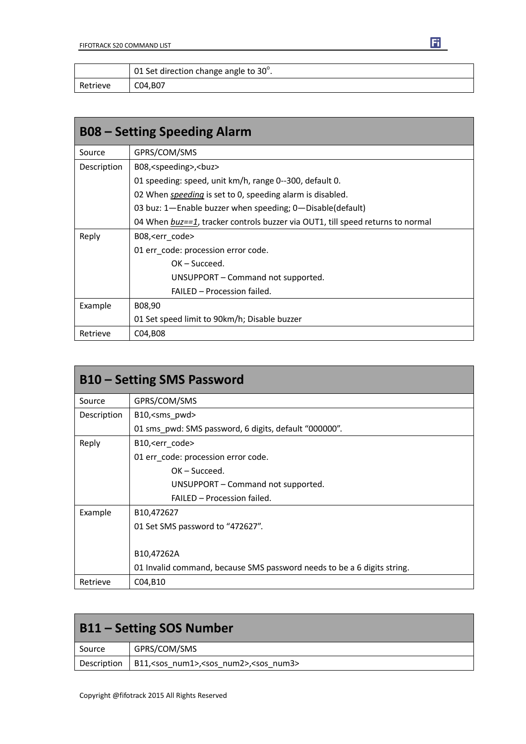|          | 01 Set direction change angle to $30^{\circ}$ . |
|----------|-------------------------------------------------|
| Retrieve | C04,B07                                         |

| <b>B08 – Setting Speeding Alarm</b> |                                                                                |
|-------------------------------------|--------------------------------------------------------------------------------|
| Source                              | GPRS/COM/SMS                                                                   |
| Description                         | B08, <speeding>,<br/>buz&gt;</speeding>                                        |
|                                     | 01 speeding: speed, unit km/h, range 0--300, default 0.                        |
|                                     | 02 When <i>speeding</i> is set to 0, speeding alarm is disabled.               |
|                                     | 03 buz: 1-Enable buzzer when speeding; 0-Disable(default)                      |
|                                     | 04 When buz==1, tracker controls buzzer via OUT1, till speed returns to normal |
| Reply                               | B08, <err_code></err_code>                                                     |
|                                     | 01 err_code: procession error code.                                            |
|                                     | $OK - Succeed.$                                                                |
|                                     | UNSUPPORT – Command not supported.                                             |
|                                     | FAILED - Procession failed.                                                    |
| Example                             | B08,90                                                                         |
|                                     | 01 Set speed limit to 90km/h; Disable buzzer                                   |
| Retrieve                            | C04, B08                                                                       |

| <b>B10 – Setting SMS Password</b> |                                                                         |
|-----------------------------------|-------------------------------------------------------------------------|
| Source                            | GPRS/COM/SMS                                                            |
| Description                       | B10, <sms_pwd></sms_pwd>                                                |
|                                   | 01 sms pwd: SMS password, 6 digits, default "000000".                   |
| Reply                             | B10, <err code=""></err>                                                |
|                                   | 01 err_code: procession error code.                                     |
|                                   | $OK - Succeed.$                                                         |
|                                   | UNSUPPORT – Command not supported.                                      |
|                                   | FAILED - Procession failed.                                             |
| Example                           | B10,472627                                                              |
|                                   | 01 Set SMS password to "472627".                                        |
|                                   |                                                                         |
|                                   | B10,47262A                                                              |
|                                   | 01 Invalid command, because SMS password needs to be a 6 digits string. |
| Retrieve                          | C04, B10                                                                |

| <b>B11 - Setting SOS Number</b> |                                                                  |
|---------------------------------|------------------------------------------------------------------|
| Source                          | GPRS/COM/SMS                                                     |
| Description                     | B11, <sos num1="">,<sos num2="">,<sos num3=""></sos></sos></sos> |

П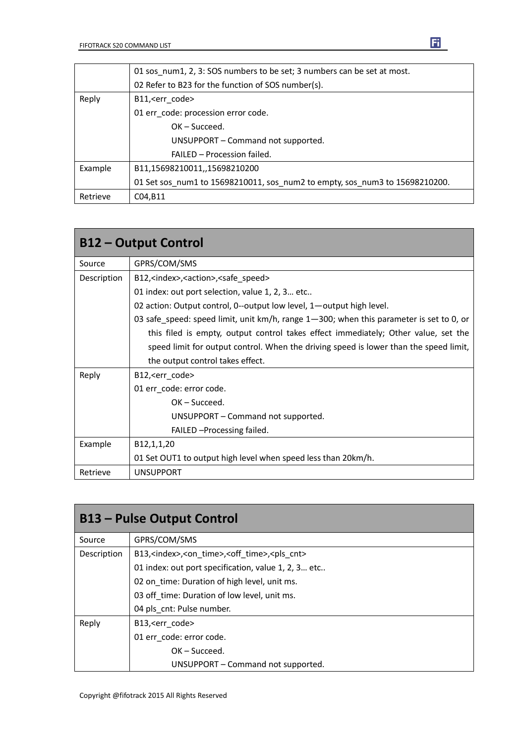|          | 01 sos_num1, 2, 3: SOS numbers to be set; 3 numbers can be set at most.     |
|----------|-----------------------------------------------------------------------------|
|          | 02 Refer to B23 for the function of SOS number(s).                          |
| Reply    | B11, <err code=""></err>                                                    |
|          | 01 err code: procession error code.                                         |
|          | $OK - Succeed.$                                                             |
|          | UNSUPPORT - Command not supported.                                          |
|          | FAILED - Procession failed.                                                 |
| Example  | B11,15698210011,,15698210200                                                |
|          | 01 Set sos num1 to 15698210011, sos num2 to empty, sos num3 to 15698210200. |
| Retrieve | C04, B11                                                                    |

| <b>B12 - Output Control</b> |                                                                                         |
|-----------------------------|-----------------------------------------------------------------------------------------|
| Source                      | GPRS/COM/SMS                                                                            |
| Description                 | B12, <index>,<action>,<safe speed=""></safe></action></index>                           |
|                             | 01 index: out port selection, value 1, 2, 3 etc                                         |
|                             | 02 action: Output control, 0--output low level, 1-output high level.                    |
|                             | 03 safe_speed: speed limit, unit km/h, range 1-300; when this parameter is set to 0, or |
|                             | this filed is empty, output control takes effect immediately; Other value, set the      |
|                             | speed limit for output control. When the driving speed is lower than the speed limit,   |
|                             | the output control takes effect.                                                        |
| Reply                       | B12, <err code=""></err>                                                                |
|                             | 01 err code: error code.                                                                |
|                             | $OK - Succeed.$                                                                         |
|                             | UNSUPPORT – Command not supported.                                                      |
|                             | FAILED - Processing failed.                                                             |
| Example                     | B12,1,1,20                                                                              |
|                             | 01 Set OUT1 to output high level when speed less than 20km/h.                           |
| Retrieve                    | <b>UNSUPPORT</b>                                                                        |

| <b>B13 – Pulse Output Control</b> |                                                                               |
|-----------------------------------|-------------------------------------------------------------------------------|
| Source                            | GPRS/COM/SMS                                                                  |
| Description                       | B13, <index>,<on time="">,<off time="">,<pls cnt=""></pls></off></on></index> |
|                                   | 01 index: out port specification, value 1, 2, 3 etc                           |
|                                   | 02 on time: Duration of high level, unit ms.                                  |
|                                   | 03 off time: Duration of low level, unit ms.                                  |
|                                   | 04 pls cnt: Pulse number.                                                     |
| Reply                             | B13, <err code=""></err>                                                      |
|                                   | 01 err code: error code.                                                      |
|                                   | $OK - Succeed.$                                                               |
|                                   | UNSUPPORT - Command not supported.                                            |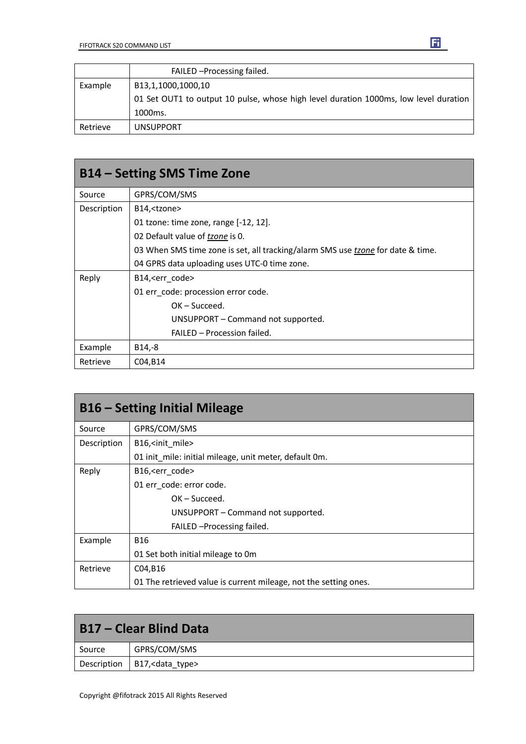|          | FAILED - Processing failed.                                                          |
|----------|--------------------------------------------------------------------------------------|
| Example  | B13,1,1000,1000,10                                                                   |
|          | 01 Set OUT1 to output 10 pulse, whose high level duration 1000ms, low level duration |
|          | 1000 <sub>ms</sub> .                                                                 |
| Retrieve | <b>UNSUPPORT</b>                                                                     |

| B14 – Setting SMS Time Zone |                                                                                 |
|-----------------------------|---------------------------------------------------------------------------------|
| Source                      | GPRS/COM/SMS                                                                    |
| Description                 | B14, <tzone></tzone>                                                            |
|                             | 01 tzone: time zone, range [-12, 12].                                           |
|                             | 02 Default value of tzone is 0.                                                 |
|                             | 03 When SMS time zone is set, all tracking/alarm SMS use tzone for date & time. |
|                             | 04 GPRS data uploading uses UTC-0 time zone.                                    |
| Reply                       | B14, <err code=""></err>                                                        |
|                             | 01 err code: procession error code.                                             |
|                             | $OK - Succeed.$                                                                 |
|                             | UNSUPPORT – Command not supported.                                              |
|                             | FAILED - Procession failed.                                                     |
| Example                     | $B14,-8$                                                                        |
| Retrieve                    | C04, B14                                                                        |

| <b>B16 – Setting Initial Mileage</b> |                                                                  |
|--------------------------------------|------------------------------------------------------------------|
| Source                               | GPRS/COM/SMS                                                     |
| Description                          | B16, <init mile=""></init>                                       |
|                                      | 01 init mile: initial mileage, unit meter, default 0m.           |
| Reply                                | B16, <err code=""></err>                                         |
|                                      | 01 err code: error code.                                         |
|                                      | $OK - Succeed.$                                                  |
|                                      | UNSUPPORT - Command not supported.                               |
|                                      | FAILED - Processing failed.                                      |
| Example                              | <b>B16</b>                                                       |
|                                      | 01 Set both initial mileage to 0m                                |
| Retrieve                             | C04, B16                                                         |
|                                      | 01 The retrieved value is current mileage, not the setting ones. |

| B17 – Clear Blind Data |                                 |
|------------------------|---------------------------------|
| Source                 | GPRS/COM/SMS                    |
|                        | Description   B17, < data_type> |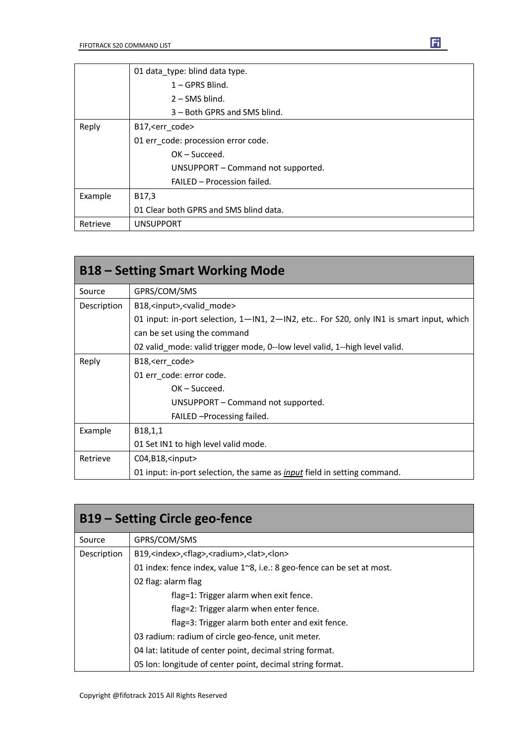|          | 01 data type: blind data type.         |
|----------|----------------------------------------|
|          | $1 - GPRS$ Blind.                      |
|          | $2 -$ SMS blind.                       |
|          | 3 – Both GPRS and SMS blind.           |
| Reply    | B17, <err code=""></err>               |
|          | 01 err_code: procession error code.    |
|          | $OK - Succeed.$                        |
|          | UNSUPPORT - Command not supported.     |
|          | FAILED - Procession failed.            |
| Example  | B17,3                                  |
|          | 01 Clear both GPRS and SMS blind data. |
| Retrieve | <b>UNSUPPORT</b>                       |

| <b>B18 – Setting Smart Working Mode</b> |                                                                                                                |
|-----------------------------------------|----------------------------------------------------------------------------------------------------------------|
| Source                                  | GPRS/COM/SMS                                                                                                   |
| Description                             | B18, <input/> , <valid_mode></valid_mode>                                                                      |
|                                         | 01 input: in-port selection, $1-\mathsf{IN1}$ , $2-\mathsf{IN2}$ , etc For S20, only IN1 is smart input, which |
|                                         | can be set using the command                                                                                   |
|                                         | 02 valid mode: valid trigger mode, 0--low level valid, 1--high level valid.                                    |
| Reply                                   | B18, <err_code></err_code>                                                                                     |
|                                         | 01 err code: error code.                                                                                       |
|                                         | $OK - Succeed.$                                                                                                |
|                                         | UNSUPPORT – Command not supported.                                                                             |
|                                         | FAILED - Processing failed.                                                                                    |
| Example                                 | B <sub>18</sub> , 1, 1                                                                                         |
|                                         | 01 Set IN1 to high level valid mode.                                                                           |
| Retrieve                                | $CO4, B18,$ <input/>                                                                                           |
|                                         | 01 input: in-port selection, the same as <i>input</i> field in setting command.                                |

| B19 – Setting Circle geo-fence |                                                                              |
|--------------------------------|------------------------------------------------------------------------------|
| Source                         | GPRS/COM/SMS                                                                 |
| Description                    | B19, <index>,<flag>,<radium>,<lat>,<lon></lon></lat></radium></flag></index> |
|                                | 01 index: fence index, value 1~8, i.e.: 8 geo-fence can be set at most.      |
|                                | 02 flag: alarm flag                                                          |
|                                | flag=1: Trigger alarm when exit fence.                                       |
|                                | flag=2: Trigger alarm when enter fence.                                      |
|                                | flag=3: Trigger alarm both enter and exit fence.                             |
|                                | 03 radium: radium of circle geo-fence, unit meter.                           |
|                                | 04 lat: latitude of center point, decimal string format.                     |
|                                | 05 Ion: longitude of center point, decimal string format.                    |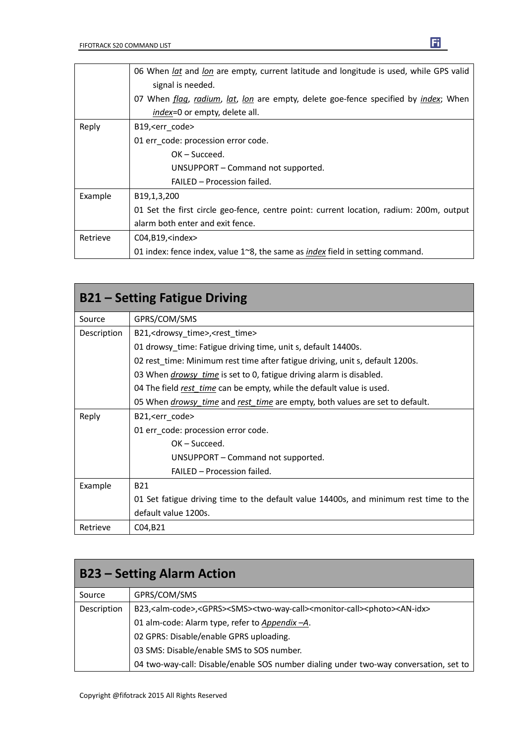|          | 06 When lat and lon are empty, current latitude and longitude is used, while GPS valid        |
|----------|-----------------------------------------------------------------------------------------------|
|          | signal is needed.                                                                             |
|          | 07 When flag, radium, lat, lon are empty, delete goe-fence specified by index; When           |
|          | index=0 or empty, delete all.                                                                 |
| Reply    | B19, <err code=""></err>                                                                      |
|          | 01 err_code: procession error code.                                                           |
|          | $OK - Succeed.$                                                                               |
|          | UNSUPPORT - Command not supported.                                                            |
|          | FAILED - Procession failed.                                                                   |
| Example  | B <sub>19</sub> , 1, 3, 200                                                                   |
|          | 01 Set the first circle geo-fence, centre point: current location, radium: 200m, output       |
|          | alarm both enter and exit fence.                                                              |
| Retrieve | $CO4, B19, \text{sindex}$                                                                     |
|          | 01 index: fence index, value $1^{\sim}8$ , the same as <i>index</i> field in setting command. |

| <b>B21 – Setting Fatigue Driving</b> |                                                                                       |
|--------------------------------------|---------------------------------------------------------------------------------------|
| Source                               | GPRS/COM/SMS                                                                          |
| Description                          | B21, <drowsy_time>,<rest_time></rest_time></drowsy_time>                              |
|                                      | 01 drowsy_time: Fatigue driving time, unit s, default 14400s.                         |
|                                      | 02 rest time: Minimum rest time after fatigue driving, unit s, default 1200s.         |
|                                      | 03 When <i>drowsy time</i> is set to 0, fatigue driving alarm is disabled.            |
|                                      | 04 The field rest time can be empty, while the default value is used.                 |
|                                      | 05 When <i>drowsy time</i> and rest time are empty, both values are set to default.   |
| Reply                                | B21, <err_code></err_code>                                                            |
|                                      | 01 err_code: procession error code.                                                   |
|                                      | $OK - Succeed.$                                                                       |
|                                      | UNSUPPORT - Command not supported.                                                    |
|                                      | FAILED - Procession failed.                                                           |
| Example                              | <b>B21</b>                                                                            |
|                                      | 01 Set fatigue driving time to the default value 14400s, and minimum rest time to the |
|                                      | default value 1200s.                                                                  |
| Retrieve                             | C04, B21                                                                              |

| <b>B23 – Setting Alarm Action</b> |                                                                                                                                               |
|-----------------------------------|-----------------------------------------------------------------------------------------------------------------------------------------------|
| Source                            | GPRS/COM/SMS                                                                                                                                  |
| Description                       | B23, <alm-code>,<gprs><sms><two-way-call><monitor-call><photo><an-idx></an-idx></photo></monitor-call></two-way-call></sms></gprs></alm-code> |
|                                   | 01 alm-code: Alarm type, refer to Appendix -A.                                                                                                |
|                                   | 02 GPRS: Disable/enable GPRS uploading.                                                                                                       |
|                                   | 03 SMS: Disable/enable SMS to SOS number.                                                                                                     |
|                                   | 04 two-way-call: Disable/enable SOS number dialing under two-way conversation, set to                                                         |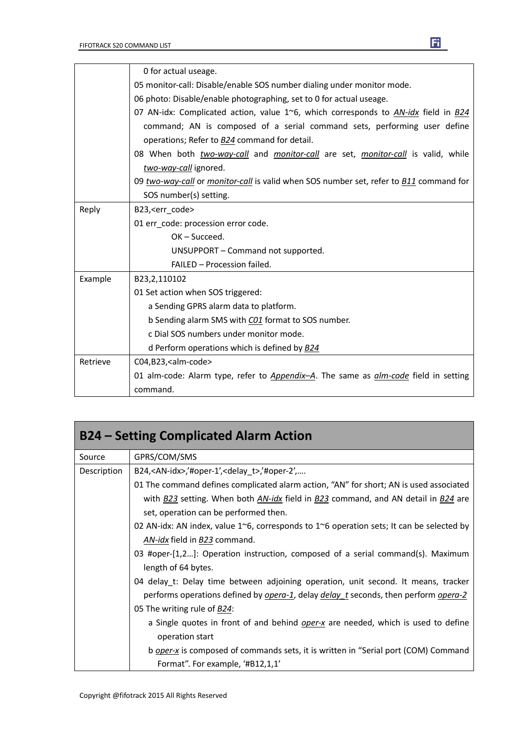|          | 0 for actual useage.                                                                               |
|----------|----------------------------------------------------------------------------------------------------|
|          | 05 monitor-call: Disable/enable SOS number dialing under monitor mode.                             |
|          | 06 photo: Disable/enable photographing, set to 0 for actual useage.                                |
|          | 07 AN-idx: Complicated action, value $1^{\circ}6$ , which corresponds to AN-idx field in B24       |
|          | command; AN is composed of a serial command sets, performing user define                           |
|          | operations; Refer to <b>B24</b> command for detail.                                                |
|          | 08 When both two-way-call and monitor-call are set, monitor-call is valid, while                   |
|          | two-way-call ignored.                                                                              |
|          | 09 two-way-call or monitor-call is valid when SOS number set, refer to B11 command for             |
|          | SOS number(s) setting.                                                                             |
| Reply    | B23, <err code=""></err>                                                                           |
|          | 01 err_code: procession error code.                                                                |
|          | $OK - Succeed.$                                                                                    |
|          | UNSUPPORT - Command not supported.                                                                 |
|          | FAILED - Procession failed.                                                                        |
| Example  | B23,2,110102                                                                                       |
|          | 01 Set action when SOS triggered:                                                                  |
|          | a Sending GPRS alarm data to platform.                                                             |
|          | b Sending alarm SMS with C01 format to SOS number.                                                 |
|          | c Dial SOS numbers under monitor mode.                                                             |
|          | d Perform operations which is defined by <b>B24</b>                                                |
| Retrieve | C04,B23, <alm-code></alm-code>                                                                     |
|          | 01 alm-code: Alarm type, refer to <i>Appendix-A</i> . The same as <i>alm-code</i> field in setting |
|          | command.                                                                                           |

| <b>B24 – Setting Complicated Alarm Action</b> |                                                                                                             |
|-----------------------------------------------|-------------------------------------------------------------------------------------------------------------|
| Source                                        | GPRS/COM/SMS                                                                                                |
| Description                                   | B24, <an-idx>,'#oper-1',<delay <math="">t&gt;,'#oper-2',</delay></an-idx>                                   |
|                                               | 01 The command defines complicated alarm action, "AN" for short; AN is used associated                      |
|                                               | with <b>B23</b> setting. When both AN-idx field in B23 command, and AN detail in B24 are                    |
|                                               | set, operation can be performed then.                                                                       |
|                                               | 02 AN-idx: AN index, value $1^{\circ}6$ , corresponds to $1^{\circ}6$ operation sets; It can be selected by |
|                                               | AN-idx field in B23 command.                                                                                |
|                                               | 03 #oper-[1,2]: Operation instruction, composed of a serial command(s). Maximum<br>length of 64 bytes.      |
|                                               | 04 delay_t: Delay time between adjoining operation, unit second. It means, tracker                          |
|                                               | performs operations defined by opera-1, delay delay t seconds, then perform opera-2                         |
|                                               | 05 The writing rule of <b>B24</b> :                                                                         |
|                                               | a Single quotes in front of and behind <i>oper-x</i> are needed, which is used to define                    |
|                                               | operation start                                                                                             |
|                                               | b <i>oper-x</i> is composed of commands sets, it is written in "Serial port (COM) Command                   |
|                                               | Format". For example, '#B12,1,1'                                                                            |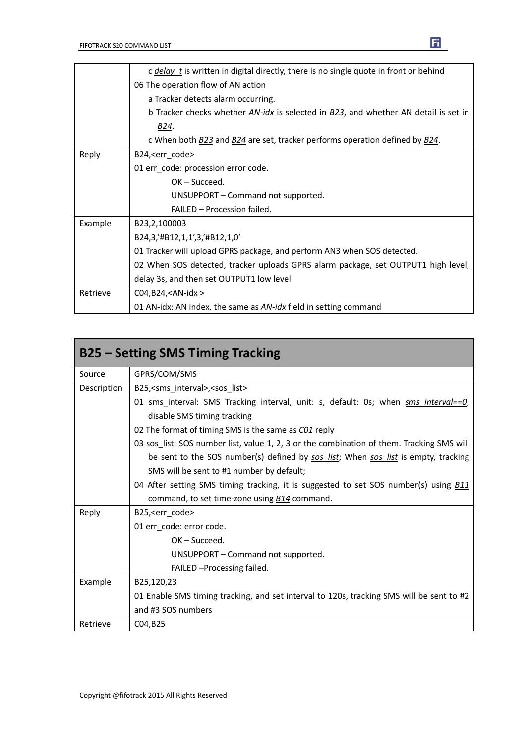|          | c <i>delay</i> t is written in digital directly, there is no single quote in front or behind |
|----------|----------------------------------------------------------------------------------------------|
|          | 06 The operation flow of AN action                                                           |
|          | a Tracker detects alarm occurring.                                                           |
|          | b Tracker checks whether AN-idx is selected in B23, and whether AN detail is set in          |
|          | B24.                                                                                         |
|          | c When both B23 and B24 are set, tracker performs operation defined by B24.                  |
| Reply    | B24, <err_code></err_code>                                                                   |
|          | 01 err_code: procession error code.                                                          |
|          | $OK - Succeed.$                                                                              |
|          | UNSUPPORT - Command not supported.                                                           |
|          | FAILED - Procession failed.                                                                  |
| Example  | B23,2,100003                                                                                 |
|          | B24,3,'#B12,1,1',3,'#B12,1,0'                                                                |
|          | 01 Tracker will upload GPRS package, and perform AN3 when SOS detected.                      |
|          | 02 When SOS detected, tracker uploads GPRS alarm package, set OUTPUT1 high level,            |
|          | delay 3s, and then set OUTPUT1 low level.                                                    |
| Retrieve | $CO4, B24, < AN-idx$                                                                         |
|          | 01 AN-idx: AN index, the same as AN-idx field in setting command                             |

| <b>B25 – Setting SMS Timing Tracking</b> |                                                                                             |
|------------------------------------------|---------------------------------------------------------------------------------------------|
| Source                                   | GPRS/COM/SMS                                                                                |
| Description                              | B25, <sms interval="">, <sos list=""></sos></sms>                                           |
|                                          | 01 sms_interval: SMS Tracking interval, unit: s, default: 0s; when sms interval==0,         |
|                                          | disable SMS timing tracking                                                                 |
|                                          | 02 The format of timing SMS is the same as CO1 reply                                        |
|                                          | 03 sos_list: SOS number list, value 1, 2, 3 or the combination of them. Tracking SMS will   |
|                                          | be sent to the SOS number(s) defined by sos_list; When sos_list is empty, tracking          |
|                                          | SMS will be sent to #1 number by default;                                                   |
|                                          | 04 After setting SMS timing tracking, it is suggested to set SOS number(s) using <b>B11</b> |
|                                          | command, to set time-zone using <b>B14</b> command.                                         |
| Reply                                    | B25, <err_code></err_code>                                                                  |
|                                          | 01 err_code: error code.                                                                    |
|                                          | $OK - Succeed.$                                                                             |
|                                          | UNSUPPORT - Command not supported.                                                          |
|                                          | FAILED - Processing failed.                                                                 |
| Example                                  | B25,120,23                                                                                  |
|                                          | 01 Enable SMS timing tracking, and set interval to 120s, tracking SMS will be sent to #2    |
|                                          | and #3 SOS numbers                                                                          |
| Retrieve                                 | C04, B25                                                                                    |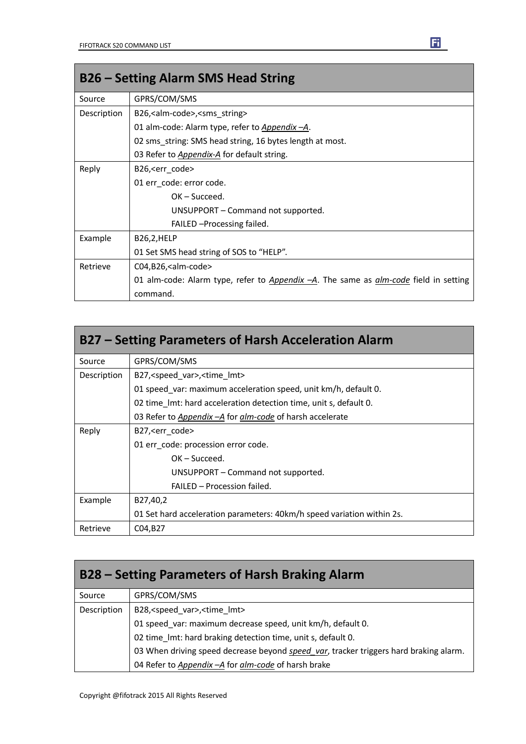| <b>B26 – Setting Alarm SMS Head String</b> |                                                                                             |
|--------------------------------------------|---------------------------------------------------------------------------------------------|
| Source                                     | GPRS/COM/SMS                                                                                |
| Description                                | B26, <alm-code>, <sms string=""></sms></alm-code>                                           |
|                                            | 01 alm-code: Alarm type, refer to Appendix -A.                                              |
|                                            | 02 sms string: SMS head string, 16 bytes length at most.                                    |
|                                            | 03 Refer to <i>Appendix-A</i> for default string.                                           |
| Reply                                      | B26, <err_code></err_code>                                                                  |
|                                            | 01 err_code: error code.                                                                    |
|                                            | $OK - Succeed.$                                                                             |
|                                            | UNSUPPORT – Command not supported.                                                          |
|                                            | FAILED - Processing failed.                                                                 |
| Example                                    | B26,2,HELP                                                                                  |
|                                            | 01 Set SMS head string of SOS to "HELP".                                                    |
| Retrieve                                   | C04,B26, <alm-code></alm-code>                                                              |
|                                            | 01 alm-code: Alarm type, refer to Appendix -A. The same as <i>alm-code</i> field in setting |
|                                            | command.                                                                                    |

| B27 – Setting Parameters of Harsh Acceleration Alarm |                                                                        |
|------------------------------------------------------|------------------------------------------------------------------------|
| Source                                               | GPRS/COM/SMS                                                           |
| Description                                          | B27, <speed var="">, <time lmt=""></time></speed>                      |
|                                                      | 01 speed var: maximum acceleration speed, unit km/h, default 0.        |
|                                                      | 02 time Imt: hard acceleration detection time, unit s, default 0.      |
|                                                      | 03 Refer to Appendix - A for alm-code of harsh accelerate              |
| Reply                                                | B27, < err code >                                                      |
|                                                      | 01 err code: procession error code.                                    |
|                                                      | $OK - Succeed.$                                                        |
|                                                      | UNSUPPORT – Command not supported.                                     |
|                                                      | FAILED - Procession failed.                                            |
| Example                                              | B27,40,2                                                               |
|                                                      | 01 Set hard acceleration parameters: 40km/h speed variation within 2s. |
| Retrieve                                             | C04, B27                                                               |

| B28 – Setting Parameters of Harsh Braking Alarm |                                                                                       |
|-------------------------------------------------|---------------------------------------------------------------------------------------|
| Source                                          | GPRS/COM/SMS                                                                          |
| Description                                     | B28, <speed var="">,<time lmt=""></time></speed>                                      |
|                                                 | 01 speed var: maximum decrease speed, unit km/h, default 0.                           |
|                                                 | 02 time_lmt: hard braking detection time, unit s, default 0.                          |
|                                                 | 03 When driving speed decrease beyond speed var, tracker triggers hard braking alarm. |
|                                                 | 04 Refer to Appendix - A for alm-code of harsh brake                                  |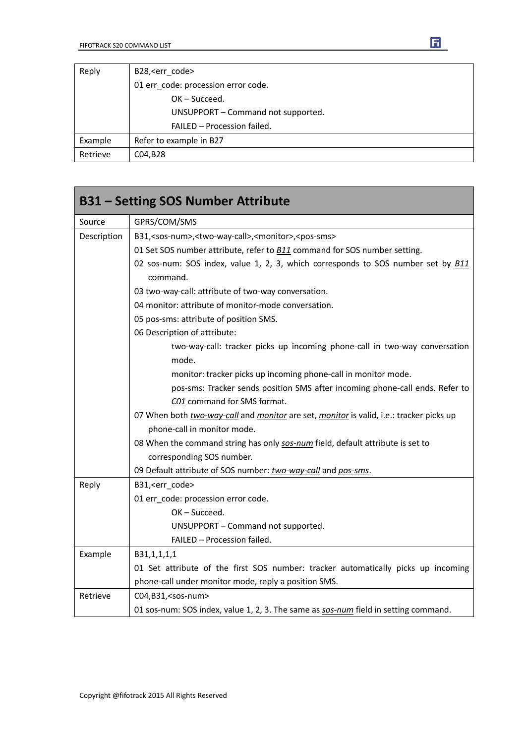| Reply    | B28, <err code=""></err>            |
|----------|-------------------------------------|
|          | 01 err_code: procession error code. |
|          | $OK - Succeed.$                     |
|          | UNSUPPORT - Command not supported.  |
|          | FAILED - Procession failed.         |
| Example  | Refer to example in B27             |
| Retrieve | C04, B28                            |

|             | <b>B31 - Setting SOS Number Attribute</b>                                                           |  |  |
|-------------|-----------------------------------------------------------------------------------------------------|--|--|
| Source      | GPRS/COM/SMS                                                                                        |  |  |
| Description | B31, <sos-num>,<two-way-call>,<monitor>,<pos-sms></pos-sms></monitor></two-way-call></sos-num>      |  |  |
|             | 01 Set SOS number attribute, refer to <b>B11</b> command for SOS number setting.                    |  |  |
|             | 02 sos-num: SOS index, value 1, 2, 3, which corresponds to SOS number set by <b>B11</b><br>command. |  |  |
|             | 03 two-way-call: attribute of two-way conversation.                                                 |  |  |
|             | 04 monitor: attribute of monitor-mode conversation.                                                 |  |  |
|             | 05 pos-sms: attribute of position SMS.                                                              |  |  |
|             | 06 Description of attribute:                                                                        |  |  |
|             | two-way-call: tracker picks up incoming phone-call in two-way conversation                          |  |  |
|             | mode.                                                                                               |  |  |
|             | monitor: tracker picks up incoming phone-call in monitor mode.                                      |  |  |
|             | pos-sms: Tracker sends position SMS after incoming phone-call ends. Refer to                        |  |  |
|             | C01 command for SMS format.                                                                         |  |  |
|             | 07 When both two-way-call and monitor are set, monitor is valid, i.e.: tracker picks up             |  |  |
|             | phone-call in monitor mode.                                                                         |  |  |
|             | 08 When the command string has only sos-num field, default attribute is set to                      |  |  |
|             | corresponding SOS number.                                                                           |  |  |
|             | 09 Default attribute of SOS number: two-way-call and pos-sms.                                       |  |  |
| Reply       | B31, <err_code></err_code>                                                                          |  |  |
|             | 01 err_code: procession error code.                                                                 |  |  |
|             | OK-Succeed.                                                                                         |  |  |
|             | UNSUPPORT - Command not supported.                                                                  |  |  |
|             | FAILED - Procession failed.                                                                         |  |  |
| Example     | B31,1,1,1,1                                                                                         |  |  |
|             | 01 Set attribute of the first SOS number: tracker automatically picks up incoming                   |  |  |
|             | phone-call under monitor mode, reply a position SMS.                                                |  |  |
| Retrieve    | C04,B31, <sos-num></sos-num>                                                                        |  |  |
|             | 01 sos-num: SOS index, value 1, 2, 3. The same as sos-num field in setting command.                 |  |  |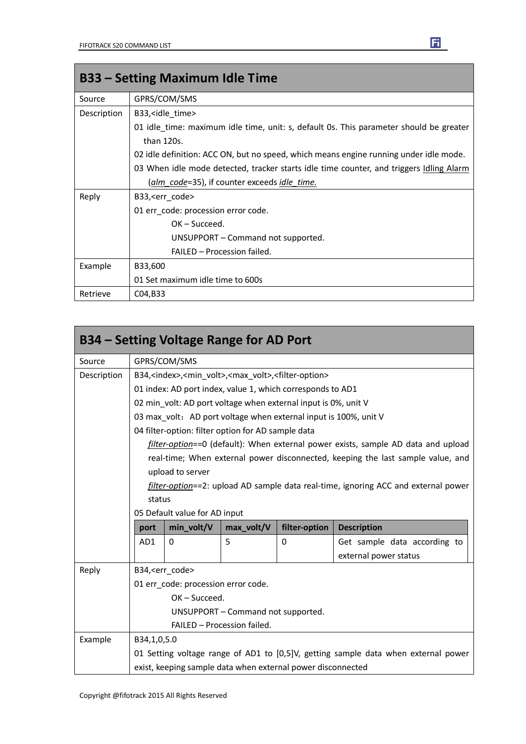| <b>B33 – Setting Maximum Idle Time</b> |                                                                                         |  |  |
|----------------------------------------|-----------------------------------------------------------------------------------------|--|--|
| Source                                 | GPRS/COM/SMS                                                                            |  |  |
| Description                            | B33, <idle_time></idle_time>                                                            |  |  |
|                                        | 01 idle_time: maximum idle time, unit: s, default 0s. This parameter should be greater  |  |  |
|                                        | than 120s.                                                                              |  |  |
|                                        | 02 idle definition: ACC ON, but no speed, which means engine running under idle mode.   |  |  |
|                                        | 03 When idle mode detected, tracker starts idle time counter, and triggers Idling Alarm |  |  |
|                                        | (alm_code=35), if counter exceeds idle_time.                                            |  |  |
| Reply                                  | B33, <err_code></err_code>                                                              |  |  |
|                                        | 01 err code: procession error code.                                                     |  |  |
|                                        | $OK - Succeed.$                                                                         |  |  |
|                                        | UNSUPPORT – Command not supported.                                                      |  |  |
|                                        | FAILED - Procession failed.                                                             |  |  |
| Example                                | B33,600                                                                                 |  |  |
|                                        | 01 Set maximum idle time to 600s                                                        |  |  |
| Retrieve                               | C04, B33                                                                                |  |  |

|             |                                                                                              | B34 – Setting Voltage Range for AD Port            |                                    |                                                                  |                                                                                    |
|-------------|----------------------------------------------------------------------------------------------|----------------------------------------------------|------------------------------------|------------------------------------------------------------------|------------------------------------------------------------------------------------|
| Source      |                                                                                              | GPRS/COM/SMS                                       |                                    |                                                                  |                                                                                    |
| Description | B34, <index>,<min volt="">,<max volt="">,<filter-option></filter-option></max></min></index> |                                                    |                                    |                                                                  |                                                                                    |
|             | 01 index: AD port index, value 1, which corresponds to AD1                                   |                                                    |                                    |                                                                  |                                                                                    |
|             | 02 min_volt: AD port voltage when external input is 0%, unit V                               |                                                    |                                    |                                                                  |                                                                                    |
|             |                                                                                              |                                                    |                                    | 03 max volt: AD port voltage when external input is 100%, unit V |                                                                                    |
|             |                                                                                              | 04 filter-option: filter option for AD sample data |                                    |                                                                  |                                                                                    |
|             |                                                                                              |                                                    |                                    |                                                                  | filter-option==0 (default): When external power exists, sample AD data and upload  |
|             |                                                                                              |                                                    |                                    |                                                                  | real-time; When external power disconnected, keeping the last sample value, and    |
|             |                                                                                              | upload to server                                   |                                    |                                                                  |                                                                                    |
|             |                                                                                              |                                                    |                                    |                                                                  | filter-option==2: upload AD sample data real-time, ignoring ACC and external power |
|             | status                                                                                       |                                                    |                                    |                                                                  |                                                                                    |
|             |                                                                                              | 05 Default value for AD input                      |                                    |                                                                  |                                                                                    |
|             | port                                                                                         | min_volt/V                                         | max_volt/V                         | filter-option                                                    | <b>Description</b>                                                                 |
|             | AD1                                                                                          | $\Omega$                                           | 5                                  | 0                                                                | Get sample data according to                                                       |
|             |                                                                                              |                                                    |                                    |                                                                  | external power status                                                              |
| Reply       |                                                                                              | B34, <err code=""></err>                           |                                    |                                                                  |                                                                                    |
|             | 01 err code: procession error code.                                                          |                                                    |                                    |                                                                  |                                                                                    |
|             |                                                                                              | OK-Succeed.                                        |                                    |                                                                  |                                                                                    |
|             |                                                                                              |                                                    | UNSUPPORT - Command not supported. |                                                                  |                                                                                    |
|             |                                                                                              |                                                    | FAILED - Procession failed.        |                                                                  |                                                                                    |
| Example     | B34,1,0,5.0                                                                                  |                                                    |                                    |                                                                  |                                                                                    |
|             | 01 Setting voltage range of AD1 to [0,5]V, getting sample data when external power           |                                                    |                                    |                                                                  |                                                                                    |
|             |                                                                                              |                                                    |                                    | exist, keeping sample data when external power disconnected      |                                                                                    |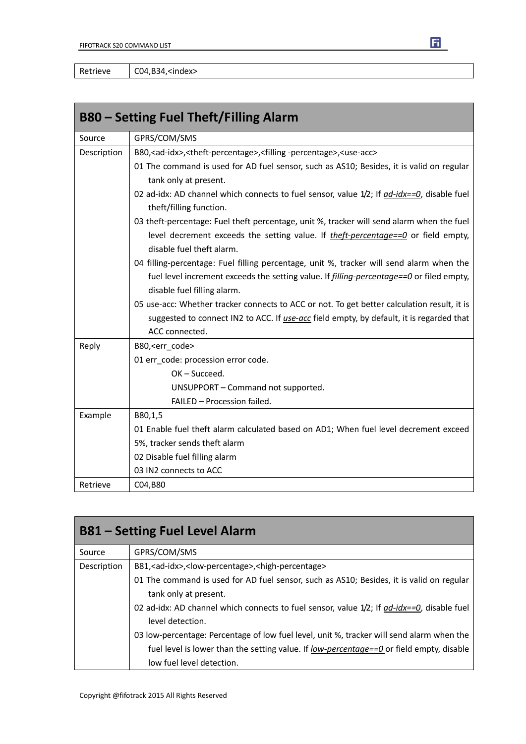Retrieve | C04,B34,<index>

|             | <b>B80 – Setting Fuel Theft/Filling Alarm</b>                                                                          |
|-------------|------------------------------------------------------------------------------------------------------------------------|
| Source      | GPRS/COM/SMS                                                                                                           |
| Description | B80, <ad-idx>, <theft-percentage>, <filling -percentage="">, <use-acc></use-acc></filling></theft-percentage></ad-idx> |
|             | 01 The command is used for AD fuel sensor, such as AS10; Besides, it is valid on regular                               |
|             | tank only at present.                                                                                                  |
|             | 02 ad-idx: AD channel which connects to fuel sensor, value $1/2$ ; If $ad$ -idx==0, disable fuel                       |
|             | theft/filling function.                                                                                                |
|             | 03 theft-percentage: Fuel theft percentage, unit %, tracker will send alarm when the fuel                              |
|             | level decrement exceeds the setting value. If theft-percentage==0 or field empty,                                      |
|             | disable fuel theft alarm.                                                                                              |
|             | 04 filling-percentage: Fuel filling percentage, unit %, tracker will send alarm when the                               |
|             | fuel level increment exceeds the setting value. If <i>filling-percentage==0</i> or filed empty,                        |
|             | disable fuel filling alarm.                                                                                            |
|             | 05 use-acc: Whether tracker connects to ACC or not. To get better calculation result, it is                            |
|             | suggested to connect IN2 to ACC. If use-acc field empty, by default, it is regarded that                               |
|             | ACC connected.                                                                                                         |
| Reply       | B80, <err_code></err_code>                                                                                             |
|             | 01 err_code: procession error code.                                                                                    |
|             | OK-Succeed.                                                                                                            |
|             | UNSUPPORT - Command not supported.                                                                                     |
|             | FAILED - Procession failed.                                                                                            |
| Example     | B80,1,5                                                                                                                |
|             | 01 Enable fuel theft alarm calculated based on AD1; When fuel level decrement exceed                                   |
|             | 5%, tracker sends theft alarm                                                                                          |
|             | 02 Disable fuel filling alarm                                                                                          |
|             | 03 IN2 connects to ACC                                                                                                 |
| Retrieve    | C04,B80                                                                                                                |

|             | <b>B81 - Setting Fuel Level Alarm</b>                                                                                                                                                                              |
|-------------|--------------------------------------------------------------------------------------------------------------------------------------------------------------------------------------------------------------------|
| Source      | GPRS/COM/SMS                                                                                                                                                                                                       |
| Description | B81, <ad-idx>,<low-percentage>,<high-percentage></high-percentage></low-percentage></ad-idx>                                                                                                                       |
|             | 01 The command is used for AD fuel sensor, such as AS10; Besides, it is valid on regular<br>tank only at present.                                                                                                  |
|             | 02 ad-idx: AD channel which connects to fuel sensor, value $1/2$ ; If $ad$ -idx==0, disable fuel<br>level detection.                                                                                               |
|             | 03 low-percentage: Percentage of low fuel level, unit %, tracker will send alarm when the<br>fuel level is lower than the setting value. If low-percentage==0 or field empty, disable<br>low fuel level detection. |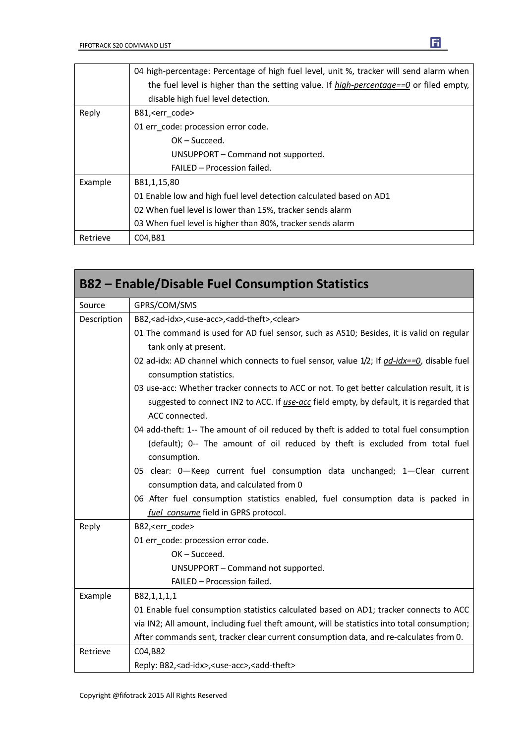|          | 04 high-percentage: Percentage of high fuel level, unit %, tracker will send alarm when           |
|----------|---------------------------------------------------------------------------------------------------|
|          | the fuel level is higher than the setting value. If $high\text{-}percentage == 0$ or filed empty, |
|          | disable high fuel level detection.                                                                |
| Reply    | B81, <err code=""></err>                                                                          |
|          | 01 err code: procession error code.                                                               |
|          | $OK - Succeed.$                                                                                   |
|          | UNSUPPORT - Command not supported.                                                                |
|          | FAILED - Procession failed.                                                                       |
| Example  | B81,1,15,80                                                                                       |
|          | 01 Enable low and high fuel level detection calculated based on AD1                               |
|          | 02 When fuel level is lower than 15%, tracker sends alarm                                         |
|          | 03 When fuel level is higher than 80%, tracker sends alarm                                        |
| Retrieve | C04,B81                                                                                           |

|             | <b>B82 – Enable/Disable Fuel Consumption Statistics</b>                                                                                                                                                   |
|-------------|-----------------------------------------------------------------------------------------------------------------------------------------------------------------------------------------------------------|
| Source      | GPRS/COM/SMS                                                                                                                                                                                              |
| Description | B82, <ad-idx>, <use-acc>, <add-theft>, <clear></clear></add-theft></use-acc></ad-idx>                                                                                                                     |
|             | 01 The command is used for AD fuel sensor, such as AS10; Besides, it is valid on regular<br>tank only at present.                                                                                         |
|             | 02 ad-idx: AD channel which connects to fuel sensor, value 1/2; If <i>ad-idx==0</i> , disable fuel<br>consumption statistics.                                                                             |
|             | 03 use-acc: Whether tracker connects to ACC or not. To get better calculation result, it is<br>suggested to connect IN2 to ACC. If use-acc field empty, by default, it is regarded that<br>ACC connected. |
|             | 04 add-theft: 1-- The amount of oil reduced by theft is added to total fuel consumption<br>(default); 0-- The amount of oil reduced by theft is excluded from total fuel<br>consumption.                  |
|             | 05 clear: 0-Keep current fuel consumption data unchanged; 1-Clear current<br>consumption data, and calculated from 0                                                                                      |
|             | 06 After fuel consumption statistics enabled, fuel consumption data is packed in<br>fuel consume field in GPRS protocol.                                                                                  |
| Reply       | B82, <err code=""></err>                                                                                                                                                                                  |
|             | 01 err code: procession error code.                                                                                                                                                                       |
|             | OK-Succeed.                                                                                                                                                                                               |
|             | UNSUPPORT - Command not supported.                                                                                                                                                                        |
|             | FAILED - Procession failed.                                                                                                                                                                               |
| Example     | B82,1,1,1,1                                                                                                                                                                                               |
|             | 01 Enable fuel consumption statistics calculated based on AD1; tracker connects to ACC                                                                                                                    |
|             | via IN2; All amount, including fuel theft amount, will be statistics into total consumption;                                                                                                              |
|             | After commands sent, tracker clear current consumption data, and re-calculates from 0.                                                                                                                    |
| Retrieve    | C04,B82                                                                                                                                                                                                   |
|             | Reply: B82, <ad-idx>, <use-acc>, <add-theft></add-theft></use-acc></ad-idx>                                                                                                                               |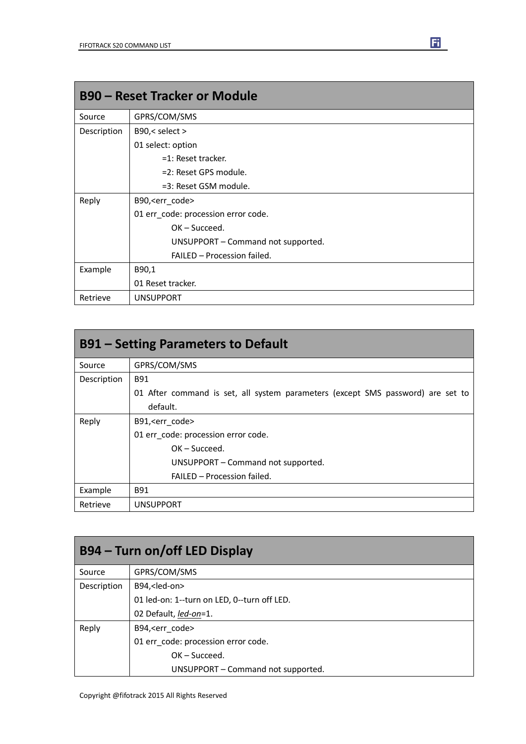|             | <b>B90 - Reset Tracker or Module</b> |
|-------------|--------------------------------------|
| Source      | GPRS/COM/SMS                         |
| Description | B90,< select >                       |
|             | 01 select: option                    |
|             | $=1$ : Reset tracker.                |
|             | =2: Reset GPS module.                |
|             | =3: Reset GSM module.                |
| Reply       | B90, <err_code></err_code>           |
|             | 01 err_code: procession error code.  |
|             | $OK - Succeed.$                      |
|             | UNSUPPORT - Command not supported.   |
|             | FAILED - Procession failed.          |
| Example     | B90,1                                |
|             | 01 Reset tracker.                    |
| Retrieve    | <b>UNSUPPORT</b>                     |

|             | <b>B91 – Setting Parameters to Default</b>                                      |
|-------------|---------------------------------------------------------------------------------|
| Source      | GPRS/COM/SMS                                                                    |
| Description | B91                                                                             |
|             | 01 After command is set, all system parameters (except SMS password) are set to |
|             | default.                                                                        |
| Reply       | B91, <err code=""></err>                                                        |
|             | 01 err code: procession error code.                                             |
|             | $OK - Succeed.$                                                                 |
|             | UNSUPPORT - Command not supported.                                              |
|             | FAILED - Procession failed.                                                     |
| Example     | B91                                                                             |
| Retrieve    | <b>UNSUPPORT</b>                                                                |

|             | B94 – Turn on/off LED Display               |
|-------------|---------------------------------------------|
| Source      | GPRS/COM/SMS                                |
| Description | B94, <led-on></led-on>                      |
|             | 01 led-on: 1--turn on LED, 0--turn off LED. |
|             | 02 Default, led-on=1.                       |
| Reply       | B94, <err code=""></err>                    |
|             | 01 err_code: procession error code.         |
|             | $OK - Succeed.$                             |
|             | UNSUPPORT - Command not supported.          |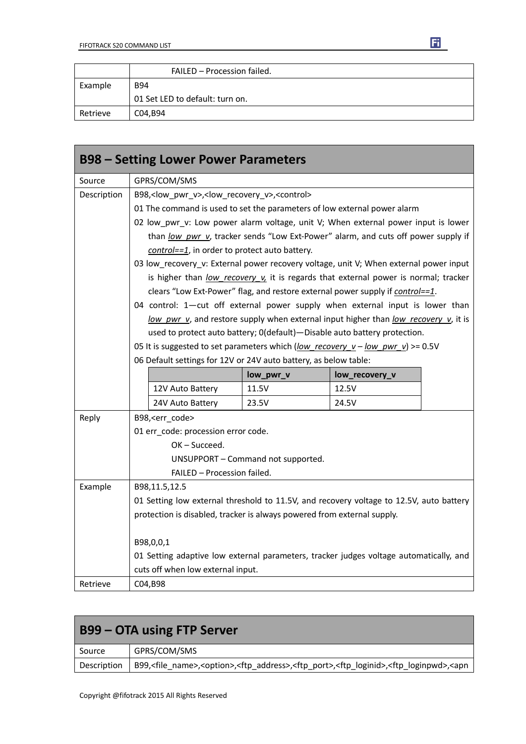|          | FAILED - Procession failed.     |
|----------|---------------------------------|
| Example  | <b>B94</b>                      |
|          | 01 Set LED to default: turn on. |
| Retrieve | C04,B94                         |

|             | <b>B98 - Setting Lower Power Parameters</b>                                        |                                                                                         |                |  |
|-------------|------------------------------------------------------------------------------------|-----------------------------------------------------------------------------------------|----------------|--|
| Source      | GPRS/COM/SMS                                                                       |                                                                                         |                |  |
| Description | B98, <low_pwr_v>,<low_recovery_v>,<control></control></low_recovery_v></low_pwr_v> |                                                                                         |                |  |
|             | 01 The command is used to set the parameters of low external power alarm           |                                                                                         |                |  |
|             | 02 low_pwr_v: Low power alarm voltage, unit V; When external power input is lower  |                                                                                         |                |  |
|             | than low pwr v, tracker sends "Low Ext-Power" alarm, and cuts off power supply if  |                                                                                         |                |  |
|             | control==1, in order to protect auto battery.                                      |                                                                                         |                |  |
|             |                                                                                    | 03 low_recovery_v: External power recovery voltage, unit V; When external power input   |                |  |
|             |                                                                                    | is higher than low recovery v it is regards that external power is normal; tracker      |                |  |
|             |                                                                                    | clears "Low Ext-Power" flag, and restore external power supply if control==1.           |                |  |
|             |                                                                                    | 04 control: 1-cut off external power supply when external input is lower than           |                |  |
|             |                                                                                    | low pwr v, and restore supply when external input higher than low recovery v, it is     |                |  |
|             |                                                                                    | used to protect auto battery; 0(default)-Disable auto battery protection.               |                |  |
|             |                                                                                    | 05 It is suggested to set parameters which (low recovery $v - low$ pwr v) >= 0.5V       |                |  |
|             |                                                                                    | 06 Default settings for 12V or 24V auto battery, as below table:                        |                |  |
|             |                                                                                    |                                                                                         |                |  |
|             |                                                                                    | low_pwr_v                                                                               | low_recovery_v |  |
|             | 12V Auto Battery                                                                   | 11.5V                                                                                   | 12.5V          |  |
|             | 24V Auto Battery                                                                   | 23.5V                                                                                   | 24.5V          |  |
| Reply       | B98, <err_code></err_code>                                                         |                                                                                         |                |  |
|             | 01 err_code: procession error code.                                                |                                                                                         |                |  |
|             | OK-Succeed.                                                                        |                                                                                         |                |  |
|             |                                                                                    | UNSUPPORT - Command not supported.                                                      |                |  |
|             | FAILED - Procession failed.                                                        |                                                                                         |                |  |
| Example     | B98,11.5,12.5                                                                      |                                                                                         |                |  |
|             |                                                                                    | 01 Setting low external threshold to 11.5V, and recovery voltage to 12.5V, auto battery |                |  |
|             |                                                                                    | protection is disabled, tracker is always powered from external supply.                 |                |  |
|             | B98,0,0,1                                                                          |                                                                                         |                |  |
|             |                                                                                    | 01 Setting adaptive low external parameters, tracker judges voltage automatically, and  |                |  |
|             | cuts off when low external input.                                                  |                                                                                         |                |  |

| <b>B99 – OTA using FTP Server</b> |                                                                                                                                                                                |
|-----------------------------------|--------------------------------------------------------------------------------------------------------------------------------------------------------------------------------|
| Source                            | GPRS/COM/SMS                                                                                                                                                                   |
| Description                       | B99, <file_name>,<option>,<ftp_address>,<ftp_port>,<ftp_loginid>,<ftp_loginpwd>,<apn< td=""></apn<></ftp_loginpwd></ftp_loginid></ftp_port></ftp_address></option></file_name> |

 $\mathbf{r}$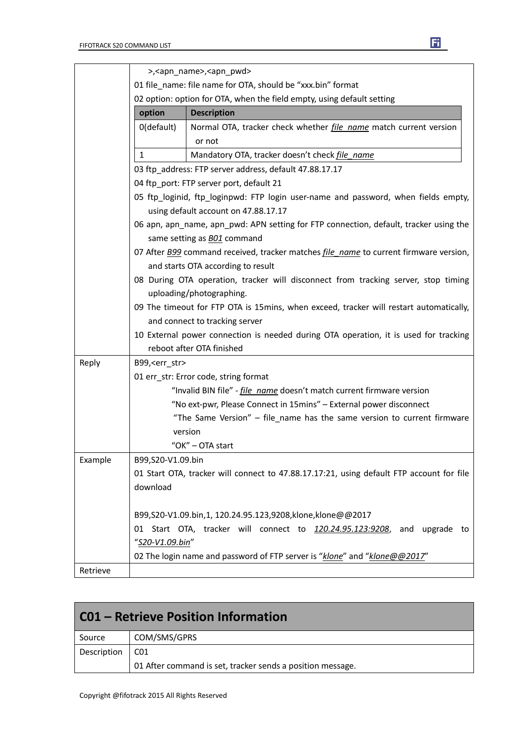|          |                   | >, <apn_name>,<apn_pwd></apn_pwd></apn_name>                                                 |
|----------|-------------------|----------------------------------------------------------------------------------------------|
|          |                   | 01 file_name: file name for OTA, should be "xxx.bin" format                                  |
|          |                   | 02 option: option for OTA, when the field empty, using default setting                       |
|          | option            | <b>Description</b>                                                                           |
|          | 0(default)        | Normal OTA, tracker check whether <i>file name</i> match current version                     |
|          |                   | or not                                                                                       |
|          | $\mathbf{1}$      | Mandatory OTA, tracker doesn't check file name                                               |
|          |                   | 03 ftp address: FTP server address, default 47.88.17.17                                      |
|          |                   | 04 ftp_port: FTP server port, default 21                                                     |
|          |                   | 05 ftp_loginid, ftp_loginpwd: FTP login user-name and password, when fields empty,           |
|          |                   | using default account on 47.88.17.17                                                         |
|          |                   | 06 apn, apn_name, apn_pwd: APN setting for FTP connection, default, tracker using the        |
|          |                   | same setting as <b>BO1</b> command                                                           |
|          |                   | 07 After B99 command received, tracker matches <i>file name</i> to current firmware version, |
|          |                   | and starts OTA according to result                                                           |
|          |                   | 08 During OTA operation, tracker will disconnect from tracking server, stop timing           |
|          |                   | uploading/photographing.                                                                     |
|          |                   | 09 The timeout for FTP OTA is 15 mins, when exceed, tracker will restart automatically,      |
|          |                   | and connect to tracking server                                                               |
|          |                   | 10 External power connection is needed during OTA operation, it is used for tracking         |
|          |                   | reboot after OTA finished                                                                    |
| Reply    | B99, < err_str>   |                                                                                              |
|          |                   | 01 err_str: Error code, string format                                                        |
|          |                   | "Invalid BIN file" - <i>file name</i> doesn't match current firmware version                 |
|          |                   | "No ext-pwr, Please Connect in 15mins" - External power disconnect                           |
|          |                   | "The Same Version" - file_name has the same version to current firmware                      |
|          |                   | version                                                                                      |
|          |                   | "OK" - OTA start                                                                             |
| Example  | B99.S20-V1.09.bin |                                                                                              |
|          |                   | 01 Start OTA, tracker will connect to 47.88.17.17:21, using default FTP account for file     |
|          | download          |                                                                                              |
|          |                   |                                                                                              |
|          |                   | B99,S20-V1.09.bin,1, 120.24.95.123,9208,klone,klone@@2017                                    |
|          | 01                | Start OTA, tracker will connect to 120.24.95.123:9208, and upgrade to                        |
|          | "S20-V1.09.bin"   |                                                                                              |
|          |                   | 02 The login name and password of FTP server is "klone" and "klone@@2017"                    |
| Retrieve |                   |                                                                                              |

| C01 – Retrieve Position Information |                                                            |
|-------------------------------------|------------------------------------------------------------|
| Source                              | COM/SMS/GPRS                                               |
| Description                         | CO1                                                        |
|                                     | 01 After command is set, tracker sends a position message. |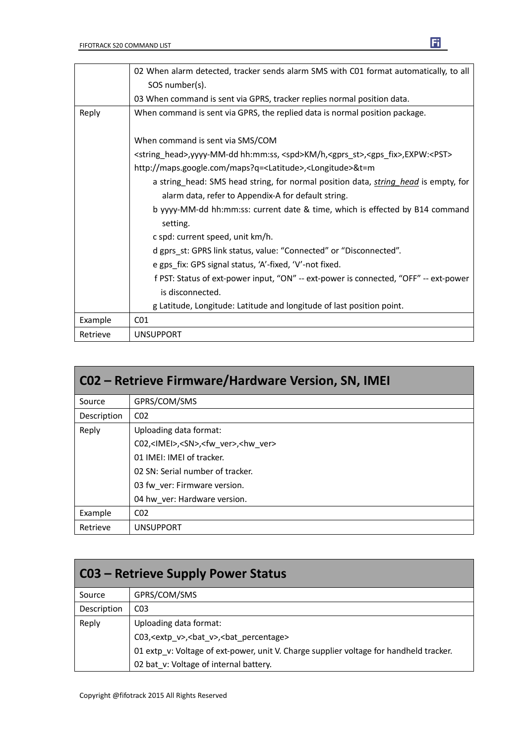|          | 02 When alarm detected, tracker sends alarm SMS with C01 format automatically, to all                                     |
|----------|---------------------------------------------------------------------------------------------------------------------------|
|          | SOS number(s).                                                                                                            |
|          | 03 When command is sent via GPRS, tracker replies normal position data.                                                   |
| Reply    | When command is sent via GPRS, the replied data is normal position package.                                               |
|          | When command is sent via SMS/COM                                                                                          |
|          | <string_head>,yyyy-MM-dd hh:mm:ss, <spd>KM/h,<gprs_st>,<gps_fix>,EXPW:<pst></pst></gps_fix></gprs_st></spd></string_head> |
|          | http://maps.google.com/maps?q= <latitude>,<longitude>&amp;t=m</longitude></latitude>                                      |
|          | a string_head: SMS head string, for normal position data, <i>string head</i> is empty, for                                |
|          | alarm data, refer to Appendix-A for default string.                                                                       |
|          | b yyyy-MM-dd hh:mm:ss: current date & time, which is effected by B14 command                                              |
|          | setting.                                                                                                                  |
|          | c spd: current speed, unit km/h.                                                                                          |
|          | d gprs_st: GPRS link status, value: "Connected" or "Disconnected".                                                        |
|          | e gps fix: GPS signal status, 'A'-fixed, 'V'-not fixed.                                                                   |
|          | f PST: Status of ext-power input, "ON" -- ext-power is connected, "OFF" -- ext-power                                      |
|          | is disconnected.                                                                                                          |
|          | g Latitude, Longitude: Latitude and longitude of last position point.                                                     |
| Example  | CO <sub>1</sub>                                                                                                           |
| Retrieve | <b>UNSUPPORT</b>                                                                                                          |

| C02 - Retrieve Firmware/Hardware Version, SN, IMEI |                                                                |
|----------------------------------------------------|----------------------------------------------------------------|
| Source                                             | GPRS/COM/SMS                                                   |
| Description                                        | CO <sub>2</sub>                                                |
| Reply                                              | Uploading data format:                                         |
|                                                    | C02, <imei>,<sn>,<fw ver="">,<hw ver=""></hw></fw></sn></imei> |
|                                                    | 01 IMEI: IMEI of tracker.                                      |
|                                                    | 02 SN: Serial number of tracker.                               |
|                                                    | 03 fw ver: Firmware version.                                   |
|                                                    | 04 hw ver: Hardware version.                                   |
| Example                                            | CO <sub>2</sub>                                                |
| Retrieve                                           | <b>UNSUPPORT</b>                                               |

| <b>C03 - Retrieve Supply Power Status</b> |                                                                                        |
|-------------------------------------------|----------------------------------------------------------------------------------------|
| Source                                    | GPRS/COM/SMS                                                                           |
| Description                               | CO <sub>3</sub>                                                                        |
| Reply                                     | Uploading data format:                                                                 |
|                                           | C03, <extp v="">, <br/>bat v&gt;, <br/>bat percentage&gt;</extp>                       |
|                                           | 01 extp v: Voltage of ext-power, unit V. Charge supplier voltage for handheld tracker. |
|                                           | 02 bat_v: Voltage of internal battery.                                                 |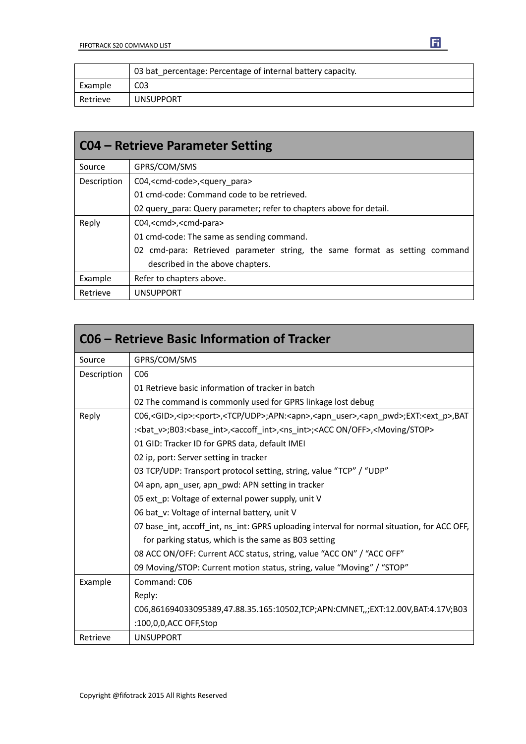|          | 03 bat percentage: Percentage of internal battery capacity. |
|----------|-------------------------------------------------------------|
| Example  | CO <sub>3</sub>                                             |
| Retrieve | <b>UNSUPPORT</b>                                            |

| <b>CO4 – Retrieve Parameter Setting</b> |                                                                             |
|-----------------------------------------|-----------------------------------------------------------------------------|
| Source                                  | GPRS/COM/SMS                                                                |
| Description                             | C04, <cmd-code>,<query para=""></query></cmd-code>                          |
|                                         | 01 cmd-code: Command code to be retrieved.                                  |
|                                         | 02 query para: Query parameter; refer to chapters above for detail.         |
| Reply                                   | C04, <cmd>,<cmd-para></cmd-para></cmd>                                      |
|                                         | 01 cmd-code: The same as sending command.                                   |
|                                         | 02 cmd-para: Retrieved parameter string, the same format as setting command |
|                                         | described in the above chapters.                                            |
| Example                                 | Refer to chapters above.                                                    |
| Retrieve                                | <b>UNSUPPORT</b>                                                            |

|             | C06 – Retrieve Basic Information of Tracker                                                                                                   |
|-------------|-----------------------------------------------------------------------------------------------------------------------------------------------|
| Source      | GPRS/COM/SMS                                                                                                                                  |
| Description | C <sub>06</sub>                                                                                                                               |
|             | 01 Retrieve basic information of tracker in batch                                                                                             |
|             | 02 The command is commonly used for GPRS linkage lost debug                                                                                   |
| Reply       | C06, <gid>,<ip>:<port>,<tcp udp="">;APN:<apn>,<apn_user>,<apn_pwd>;EXT:<ext_p>,BAT</ext_p></apn_pwd></apn_user></apn></tcp></port></ip></gid> |
|             | : <bat v="">;B03:<br/>sbase int&gt;,<accoff int="">,<ns int="">;<acc off="" on="">,<moving stop=""></moving></acc></ns></accoff></bat>        |
|             | 01 GID: Tracker ID for GPRS data, default IMEI                                                                                                |
|             | 02 ip, port: Server setting in tracker                                                                                                        |
|             | 03 TCP/UDP: Transport protocol setting, string, value "TCP" / "UDP"                                                                           |
|             | 04 apn, apn_user, apn_pwd: APN setting in tracker                                                                                             |
|             | 05 ext p: Voltage of external power supply, unit V                                                                                            |
|             | 06 bat v: Voltage of internal battery, unit V                                                                                                 |
|             | 07 base int, accoff int, ns int: GPRS uploading interval for normal situation, for ACC OFF,                                                   |
|             | for parking status, which is the same as B03 setting                                                                                          |
|             | 08 ACC ON/OFF: Current ACC status, string, value "ACC ON" / "ACC OFF"                                                                         |
|             | 09 Moving/STOP: Current motion status, string, value "Moving" / "STOP"                                                                        |
| Example     | Command: C06                                                                                                                                  |
|             | Reply:                                                                                                                                        |
|             | C06,861694033095389,47.88.35.165:10502,TCP;APN:CMNET,,;EXT:12.00V,BAT:4.17V;B03                                                               |
|             | :100,0,0,ACC OFF,Stop                                                                                                                         |
| Retrieve    | <b>UNSUPPORT</b>                                                                                                                              |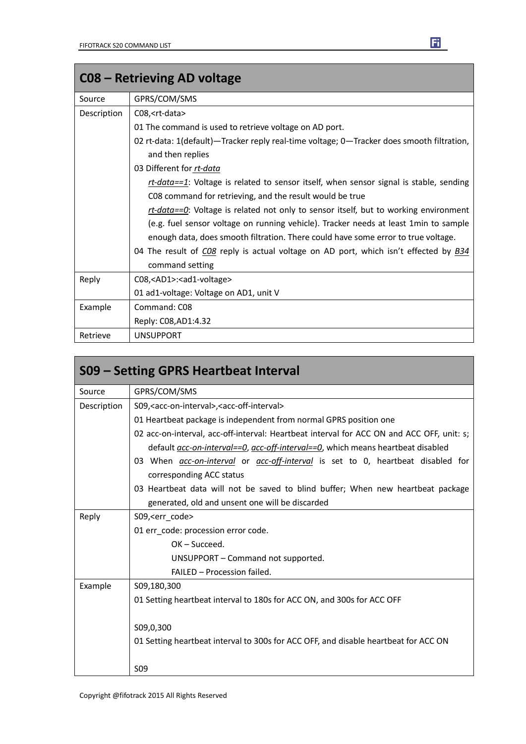|             | C08 – Retrieving AD voltage                                                               |
|-------------|-------------------------------------------------------------------------------------------|
| Source      | GPRS/COM/SMS                                                                              |
| Description | C08, <rt-data></rt-data>                                                                  |
|             | 01 The command is used to retrieve voltage on AD port.                                    |
|             | 02 rt-data: 1(default)—Tracker reply real-time voltage; 0—Tracker does smooth filtration, |
|             | and then replies                                                                          |
|             | 03 Different for rt-data                                                                  |
|             | rt-data==1: Voltage is related to sensor itself, when sensor signal is stable, sending    |
|             | C08 command for retrieving, and the result would be true                                  |
|             | rt-data== $Q$ : Voltage is related not only to sensor itself, but to working environment  |
|             | (e.g. fuel sensor voltage on running vehicle). Tracker needs at least 1min to sample      |
|             | enough data, does smooth filtration. There could have some error to true voltage.         |
|             | 04 The result of CO8 reply is actual voltage on AD port, which isn't effected by B34      |
|             | command setting                                                                           |
| Reply       | C08, <ad1>:<ad1-voltage></ad1-voltage></ad1>                                              |
|             | 01 ad1-voltage: Voltage on AD1, unit V                                                    |
| Example     | Command: C08                                                                              |
|             | Reply: C08, AD1: 4.32                                                                     |
| Retrieve    | <b>UNSUPPORT</b>                                                                          |

|             | S09 – Setting GPRS Heartbeat Interval                                                         |
|-------------|-----------------------------------------------------------------------------------------------|
| Source      | GPRS/COM/SMS                                                                                  |
| Description | S09, <acc-on-interval>, <acc-off-interval></acc-off-interval></acc-on-interval>               |
|             | 01 Heartbeat package is independent from normal GPRS position one                             |
|             | 02 acc-on-interval, acc-off-interval: Heartbeat interval for ACC ON and ACC OFF, unit: s;     |
|             | default acc-on-interval==0, acc-off-interval==0, which means heartbeat disabled               |
|             | 03 When <i>acc-on-interval</i> or <i>acc-off-interval</i> is set to 0, heartbeat disabled for |
|             | corresponding ACC status                                                                      |
|             | 03 Heartbeat data will not be saved to blind buffer; When new heartbeat package               |
|             | generated, old and unsent one will be discarded                                               |
| Reply       | S09, <err code=""></err>                                                                      |
|             | 01 err code: procession error code.                                                           |
|             | $OK - Succed.$                                                                                |
|             | UNSUPPORT – Command not supported.                                                            |
|             | FAILED - Procession failed.                                                                   |
| Example     | S09,180,300                                                                                   |
|             | 01 Setting heartbeat interval to 180s for ACC ON, and 300s for ACC OFF                        |
|             |                                                                                               |
|             | S09,0,300                                                                                     |
|             | 01 Setting heartbeat interval to 300s for ACC OFF, and disable heartbeat for ACC ON           |
|             |                                                                                               |
|             | S <sub>09</sub>                                                                               |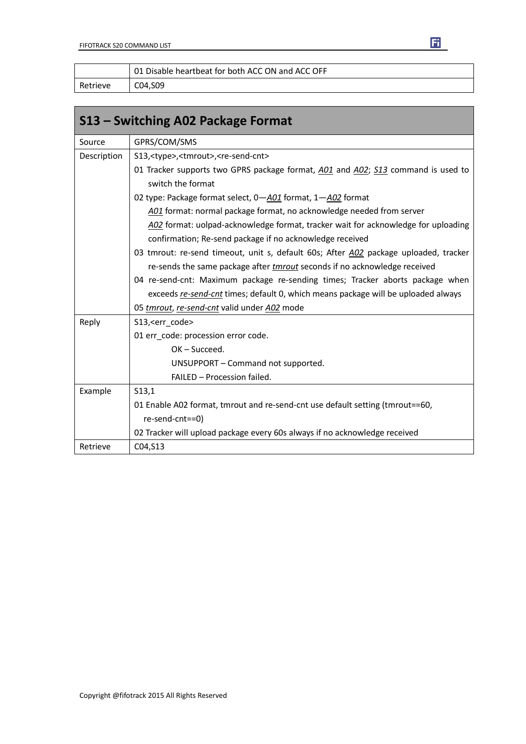|          | 01 Disable heartbeat for both ACC ON and ACC OFF |
|----------|--------------------------------------------------|
| Retrieve | C04.S09                                          |

| S13 – Switching A02 Package Format |                                                                                                                                               |  |  |  |
|------------------------------------|-----------------------------------------------------------------------------------------------------------------------------------------------|--|--|--|
| Source                             | GPRS/COM/SMS                                                                                                                                  |  |  |  |
| Description                        | S13, <type>,<tmrout>,<re-send-cnt></re-send-cnt></tmrout></type>                                                                              |  |  |  |
|                                    | 01 Tracker supports two GPRS package format, A01 and A02; S13 command is used to<br>switch the format                                         |  |  |  |
|                                    | 02 type: Package format select, 0-A01 format, 1-A02 format                                                                                    |  |  |  |
|                                    | A01 format: normal package format, no acknowledge needed from server                                                                          |  |  |  |
|                                    | A02 format: uolpad-acknowledge format, tracker wait for acknowledge for uploading<br>confirmation; Re-send package if no acknowledge received |  |  |  |
|                                    | 03 tmrout: re-send timeout, unit s, default 60s; After A02 package uploaded, tracker                                                          |  |  |  |
|                                    | re-sends the same package after <i>tmrout</i> seconds if no acknowledge received                                                              |  |  |  |
|                                    | 04 re-send-cnt: Maximum package re-sending times; Tracker aborts package when                                                                 |  |  |  |
|                                    | exceeds re-send-cnt times; default 0, which means package will be uploaded always                                                             |  |  |  |
|                                    | 05 tmrout, re-send-cnt valid under A02 mode                                                                                                   |  |  |  |
| Reply                              | S13, <err code=""></err>                                                                                                                      |  |  |  |
|                                    | 01 err code: procession error code.                                                                                                           |  |  |  |
|                                    | OK-Succeed.                                                                                                                                   |  |  |  |
|                                    | UNSUPPORT - Command not supported.                                                                                                            |  |  |  |
|                                    | FAILED - Procession failed.                                                                                                                   |  |  |  |
| Example                            | S13,1                                                                                                                                         |  |  |  |
|                                    | 01 Enable A02 format, tmrout and re-send-cnt use default setting (tmrout==60,                                                                 |  |  |  |
|                                    | re-send-cnt==0)                                                                                                                               |  |  |  |
|                                    | 02 Tracker will upload package every 60s always if no acknowledge received                                                                    |  |  |  |
| Retrieve                           | C04, S13                                                                                                                                      |  |  |  |